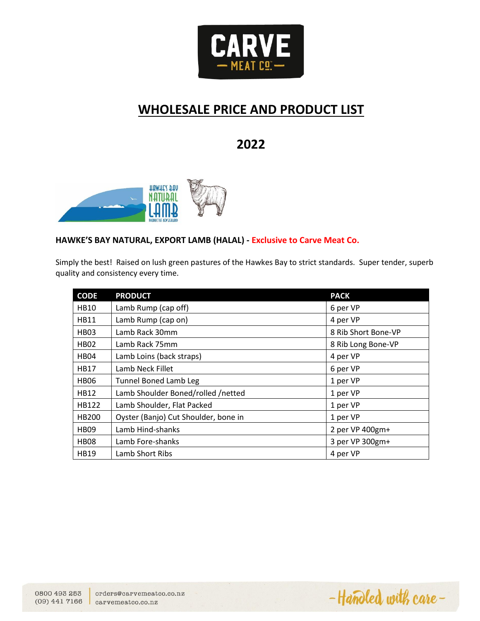

# **WHOLESALE PRICE AND PRODUCT LIST**

# **2022**



## **HAWKE'S BAY NATURAL, EXPORT LAMB (HALAL) - Exclusive to Carve Meat Co.**

Simply the best! Raised on lush green pastures of the Hawkes Bay to strict standards. Super tender, superb quality and consistency every time.

| <b>CODE</b>      | <b>PRODUCT</b>                       | <b>PACK</b>         |
|------------------|--------------------------------------|---------------------|
| <b>HB10</b>      | Lamb Rump (cap off)                  | 6 per VP            |
| <b>HB11</b>      | Lamb Rump (cap on)                   | 4 per VP            |
| <b>HB03</b>      | Lamb Rack 30mm                       | 8 Rib Short Bone-VP |
| <b>HB02</b>      | Lamb Rack 75mm                       | 8 Rib Long Bone-VP  |
| HB04             | Lamb Loins (back straps)             | 4 per VP            |
| <b>HB17</b>      | Lamb Neck Fillet                     | 6 per VP            |
| <b>HB06</b>      | <b>Tunnel Boned Lamb Leg</b>         | 1 per VP            |
| <b>HB12</b>      | Lamb Shoulder Boned/rolled /netted   | 1 per VP            |
| HB122            | Lamb Shoulder, Flat Packed           | 1 per VP            |
| HB200            | Oyster (Banjo) Cut Shoulder, bone in | 1 per VP            |
| HB <sub>09</sub> | Lamb Hind-shanks                     | 2 per VP 400gm+     |
| <b>HB08</b>      | Lamb Fore-shanks                     | 3 per VP 300gm+     |
| <b>HB19</b>      | Lamb Short Ribs                      | 4 per VP            |

-Handled with care-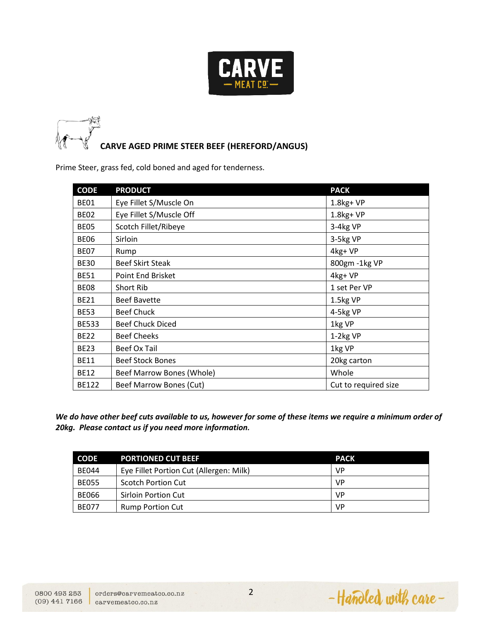



Prime Steer, grass fed, cold boned and aged for tenderness.

| <b>CODE</b>  | <b>PRODUCT</b>            | <b>PACK</b>          |
|--------------|---------------------------|----------------------|
| <b>BE01</b>  | Eye Fillet S/Muscle On    | $1.8$ kg+ VP         |
| <b>BE02</b>  | Eye Fillet S/Muscle Off   | $1.8$ kg+ VP         |
| <b>BE05</b>  | Scotch Fillet/Ribeye      | 3-4kg VP             |
| <b>BE06</b>  | Sirloin                   | 3-5kg VP             |
| <b>BE07</b>  | Rump                      | 4kg+VP               |
| <b>BE30</b>  | <b>Beef Skirt Steak</b>   | 800gm - 1kg VP       |
| <b>BE51</b>  | Point End Brisket         | 4kg+VP               |
| <b>BE08</b>  | Short Rib                 | 1 set Per VP         |
| <b>BE21</b>  | <b>Beef Bavette</b>       | 1.5kg VP             |
| <b>BE53</b>  | <b>Beef Chuck</b>         | 4-5kg VP             |
| <b>BE533</b> | <b>Beef Chuck Diced</b>   | 1kg VP               |
| <b>BE22</b>  | <b>Beef Cheeks</b>        | 1-2kg VP             |
| <b>BE23</b>  | Beef Ox Tail              | 1kg VP               |
| <b>BE11</b>  | <b>Beef Stock Bones</b>   | 20kg carton          |
| <b>BE12</b>  | Beef Marrow Bones (Whole) | Whole                |
| BE122        | Beef Marrow Bones (Cut)   | Cut to required size |

*We do have other beef cuts available to us, however for some of these items we require a minimum order of 20kg. Please contact us if you need more information.*

| <b>CODE</b>  | <b>PORTIONED CUT BEEF</b>               | <b>PACK</b> |
|--------------|-----------------------------------------|-------------|
| <b>BE044</b> | Eye Fillet Portion Cut (Allergen: Milk) | <b>VP</b>   |
| <b>BE055</b> | <b>Scotch Portion Cut</b>               | <b>VP</b>   |
| <b>BE066</b> | <b>Sirloin Portion Cut</b>              | <b>VP</b>   |
| <b>BE077</b> | <b>Rump Portion Cut</b>                 | <b>VP</b>   |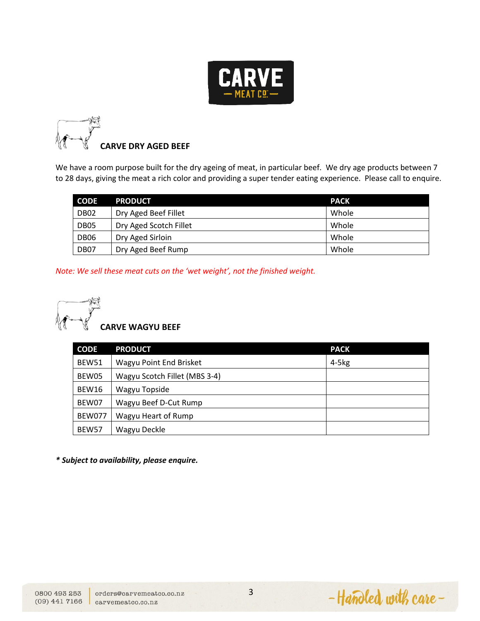



We have a room purpose built for the dry ageing of meat, in particular beef. We dry age products between 7 to 28 days, giving the meat a rich color and providing a super tender eating experience. Please call to enquire.

| <b>CODE</b>      | <b>PRODUCT</b>         | <b>PACK</b> |
|------------------|------------------------|-------------|
| DB <sub>02</sub> | Dry Aged Beef Fillet   | Whole       |
| DB <sub>05</sub> | Dry Aged Scotch Fillet | Whole       |
| <b>DB06</b>      | Dry Aged Sirloin       | Whole       |
| DB <sub>07</sub> | Dry Aged Beef Rump     | Whole       |

*Note: We sell these meat cuts on the 'wet weight', not the finished weight.*



| <b>CODE</b>   | <b>PRODUCT</b>                | <b>PACK</b> |
|---------------|-------------------------------|-------------|
| BEW51         | Wagyu Point End Brisket       | $4-5kg$     |
| BEW05         | Wagyu Scotch Fillet (MBS 3-4) |             |
| <b>BEW16</b>  | Wagyu Topside                 |             |
| BEW07         | Wagyu Beef D-Cut Rump         |             |
| <b>BEW077</b> | Wagyu Heart of Rump           |             |
| BEW57         | Wagyu Deckle                  |             |

*\* Subject to availability, please enquire.* 

-Handled with care-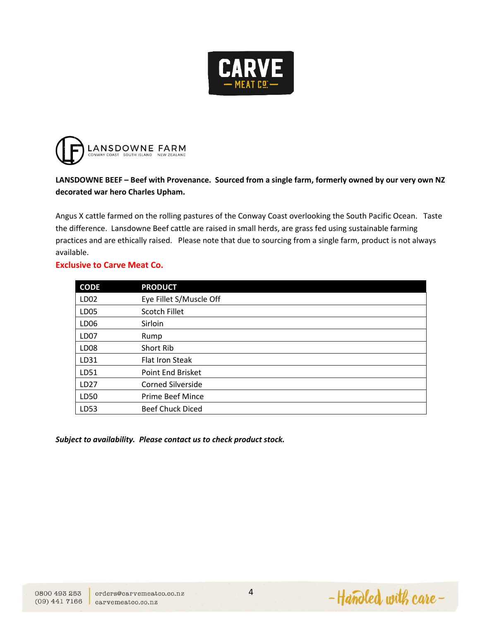



# **LANSDOWNE BEEF – Beef with Provenance. Sourced from a single farm, formerly owned by our very own NZ decorated war hero Charles Upham.**

Angus X cattle farmed on the rolling pastures of the Conway Coast overlooking the South Pacific Ocean. Taste the difference. Lansdowne Beef cattle are raised in small herds, are grass fed using sustainable farming practices and are ethically raised. Please note that due to sourcing from a single farm, product is not always available.

#### **Exclusive to Carve Meat Co.**

| <b>CODE</b>      | <b>PRODUCT</b>           |
|------------------|--------------------------|
| LD <sub>02</sub> | Eye Fillet S/Muscle Off  |
| LD <sub>05</sub> | Scotch Fillet            |
| LD <sub>06</sub> | Sirloin                  |
| LD <sub>07</sub> | Rump                     |
| LD <sub>08</sub> | Short Rib                |
| LD31             | <b>Flat Iron Steak</b>   |
| LD51             | Point End Brisket        |
| LD <sub>27</sub> | <b>Corned Silverside</b> |
| LD50             | Prime Beef Mince         |
| LD53             | <b>Beef Chuck Diced</b>  |

*Subject to availability. Please contact us to check product stock.* 

-Handled with care-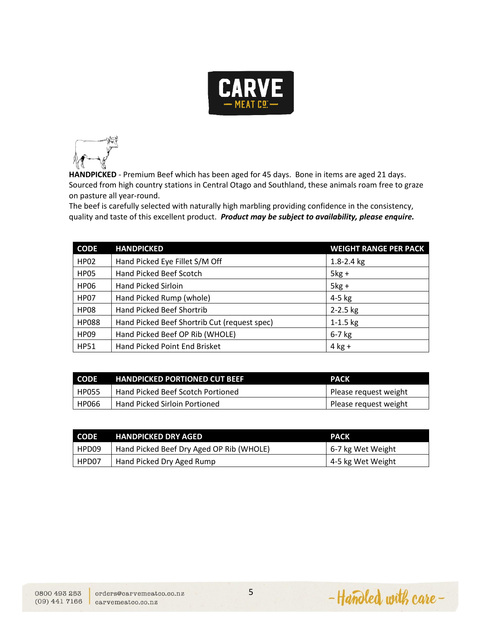



**HANDPICKED** - Premium Beef which has been aged for 45 days. Bone in items are aged 21 days. Sourced from high country stations in Central Otago and Southland, these animals roam free to graze on pasture all year-round.

The beef is carefully selected with naturally high marbling providing confidence in the consistency, quality and taste of this excellent product. *Product may be subject to availability, please enquire.* 

| <b>CODE</b>  | <b>HANDPICKED</b>                            | <b>WEIGHT RANGE PER PACK</b> |
|--------------|----------------------------------------------|------------------------------|
| <b>HP02</b>  | Hand Picked Eye Fillet S/M Off               | $1.8 - 2.4$ kg               |
| <b>HP05</b>  | Hand Picked Beef Scotch                      | $5kg +$                      |
| <b>HP06</b>  | <b>Hand Picked Sirloin</b>                   | $5kg +$                      |
| <b>HP07</b>  | Hand Picked Rump (whole)                     | 4-5 kg                       |
| <b>HP08</b>  | Hand Picked Beef Shortrib                    | $2 - 2.5$ kg                 |
| <b>HP088</b> | Hand Picked Beef Shortrib Cut (request spec) | $1 - 1.5$ kg                 |
| <b>HP09</b>  | Hand Picked Beef OP Rib (WHOLE)              | $6-7$ kg                     |
| <b>HP51</b>  | Hand Picked Point End Brisket                | $4$ kg +                     |

| <b>CODE</b>  | <b>HANDPICKED PORTIONED CUT BEEF</b> | <b>PACK</b>           |
|--------------|--------------------------------------|-----------------------|
| <b>HP055</b> | Hand Picked Beef Scotch Portioned    | Please request weight |
| HP066        | Hand Picked Sirloin Portioned        | Please request weight |

| <b>CODE</b> | <b>HANDPICKED DRY AGED</b>               | <b>PACK</b>       |
|-------------|------------------------------------------|-------------------|
| HPD09       | Hand Picked Beef Dry Aged OP Rib (WHOLE) | 6-7 kg Wet Weight |
| HPD07       | Hand Picked Dry Aged Rump                | 4-5 kg Wet Weight |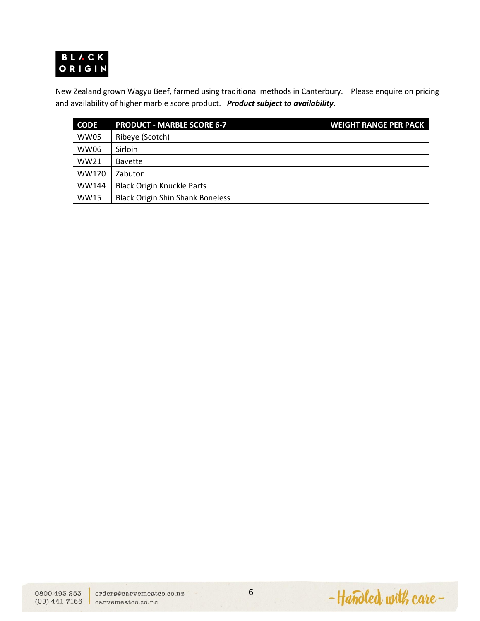

New Zealand grown Wagyu Beef, farmed using traditional methods in Canterbury. Please enquire on pricing and availability of higher marble score product. *Product subject to availability.* 

| <b>CODE</b> | <b>PRODUCT - MARBLE SCORE 6-7</b>       | <b>WEIGHT RANGE PER PACK</b> |
|-------------|-----------------------------------------|------------------------------|
| WW05        | Ribeye (Scotch)                         |                              |
| WW06        | Sirloin                                 |                              |
| WW21        | <b>Bavette</b>                          |                              |
| WW120       | Zabuton                                 |                              |
| WW144       | <b>Black Origin Knuckle Parts</b>       |                              |
| <b>WW15</b> | <b>Black Origin Shin Shank Boneless</b> |                              |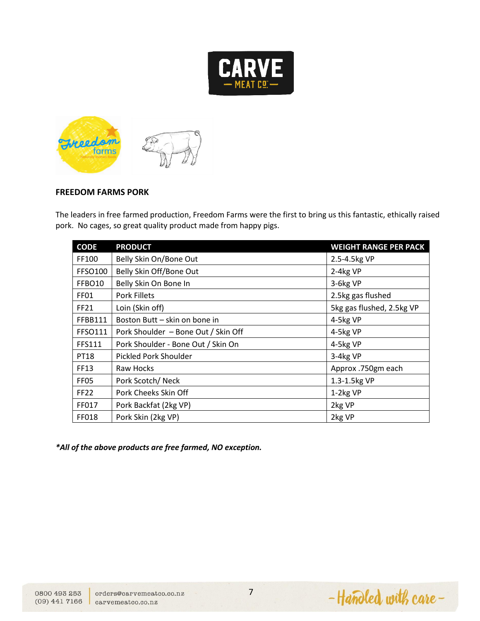



#### **FREEDOM FARMS PORK**

The leaders in free farmed production, Freedom Farms were the first to bring us this fantastic, ethically raised pork. No cages, so great quality product made from happy pigs.

| <b>CODE</b>        | <b>PRODUCT</b>                      | <b>WEIGHT RANGE PER PACK</b> |
|--------------------|-------------------------------------|------------------------------|
| FF100              | Belly Skin On/Bone Out              | 2.5-4.5kg VP                 |
| <b>FFSO100</b>     | Belly Skin Off/Bone Out             | 2-4kg VP                     |
| FFBO <sub>10</sub> | Belly Skin On Bone In               | 3-6kg VP                     |
| <b>FF01</b>        | <b>Pork Fillets</b>                 | 2.5kg gas flushed            |
| <b>FF21</b>        | Loin (Skin off)                     | 5kg gas flushed, 2.5kg VP    |
| FFBB111            | Boston Butt - skin on bone in       | 4-5kg VP                     |
| FFSO111            | Pork Shoulder - Bone Out / Skin Off | 4-5kg VP                     |
| FFS111             | Pork Shoulder - Bone Out / Skin On  | 4-5kg VP                     |
| <b>PT18</b>        | Pickled Pork Shoulder               | 3-4kg VP                     |
| FF13               | Raw Hocks                           | Approx .750gm each           |
| FF <sub>05</sub>   | Pork Scotch/Neck                    | 1.3-1.5kg VP                 |
| <b>FF22</b>        | Pork Cheeks Skin Off                | 1-2kg VP                     |
| FF017              | Pork Backfat (2kg VP)               | 2kg VP                       |
| FF018              | Pork Skin (2kg VP)                  | 2kg VP                       |

*\*All of the above products are free farmed, NO exception.*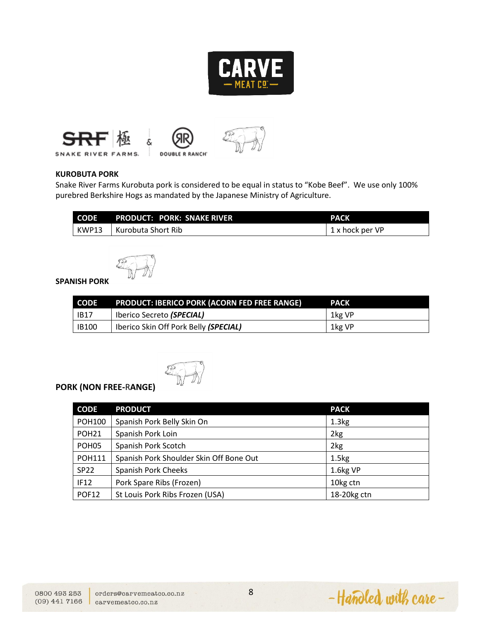









*DOUBLER RANCH* 



#### **KUROBUTA PORK**

Snake River Farms Kurobuta pork is considered to be equal in status to "Kobe Beef". We use only 100% purebred Berkshire Hogs as mandated by the Japanese Ministry of Agriculture.

| CODE PRODUCT: PORK: SNAKE RIVER | <b>PACK</b>     |
|---------------------------------|-----------------|
| KWP13   Kurobuta Short Rib      | 1 x hock per VP |



## **SPANISH PORK**

| CODE         | <b>PRODUCT: IBERICO PORK (ACORN FED FREE RANGE)</b> | <b>PACK</b> |
|--------------|-----------------------------------------------------|-------------|
| <b>IB17</b>  | Iberico Secreto (SPECIAL)                           | 1kg VP      |
| <b>IB100</b> | Iberico Skin Off Pork Belly (SPECIAL)               | 1kg VP      |



# **PORK (NON FREE-**R**ANGE)**

| <b>CODE</b>       | <b>PRODUCT</b>                          | <b>PACK</b>       |
|-------------------|-----------------------------------------|-------------------|
| <b>POH100</b>     | Spanish Pork Belly Skin On              | 1.3 <sub>kg</sub> |
| POH <sub>21</sub> | Spanish Pork Loin                       | 2kg               |
| POH <sub>05</sub> | Spanish Pork Scotch                     | 2kg               |
| <b>POH111</b>     | Spanish Pork Shoulder Skin Off Bone Out | 1.5 <sub>kg</sub> |
| <b>SP22</b>       | <b>Spanish Pork Cheeks</b>              | 1.6kg VP          |
| IF12              | Pork Spare Ribs (Frozen)                | 10kg ctn          |
| <b>POF12</b>      | St Louis Pork Ribs Frozen (USA)         | 18-20kg ctn       |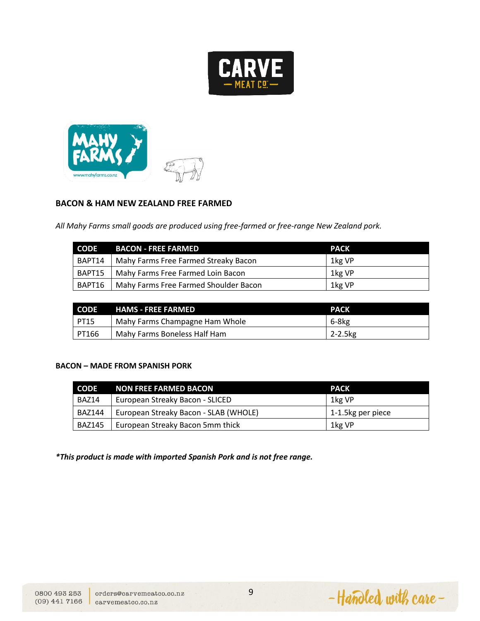



#### **BACON & HAM NEW ZEALAND FREE FARMED**

*All Mahy Farms small goods are produced using free-farmed or free-range New Zealand pork.*

| <b>CODE</b> | BACON - FREE FARMED                   | <b>PACK</b> |
|-------------|---------------------------------------|-------------|
| BAPT14      | Mahy Farms Free Farmed Streaky Bacon  | 1kg VP      |
| BAPT15      | Mahy Farms Free Farmed Loin Bacon     | 1kg VP      |
| BAPT16      | Mahy Farms Free Farmed Shoulder Bacon | 1kg VP      |

| <b>CODE</b> | <b>HAMS - FREE FARMED</b>      | <b>PACK</b> |
|-------------|--------------------------------|-------------|
| PT15        | Mahy Farms Champagne Ham Whole | 6-8kg       |
| PT166       | Mahy Farms Boneless Half Ham   | 2-2.5kg     |

#### **BACON – MADE FROM SPANISH PORK**

| CODE          | NON FREE FARMED BACON                 | <b>PACK</b>       |
|---------------|---------------------------------------|-------------------|
| BAZ14         | European Streaky Bacon - SLICED       | 1kg VP            |
| <b>BAZ144</b> | European Streaky Bacon - SLAB (WHOLE) | 1-1.5kg per piece |
| BAZ145        | European Streaky Bacon 5mm thick      | 1kg VP            |

*\*This product is made with imported Spanish Pork and is not free range.*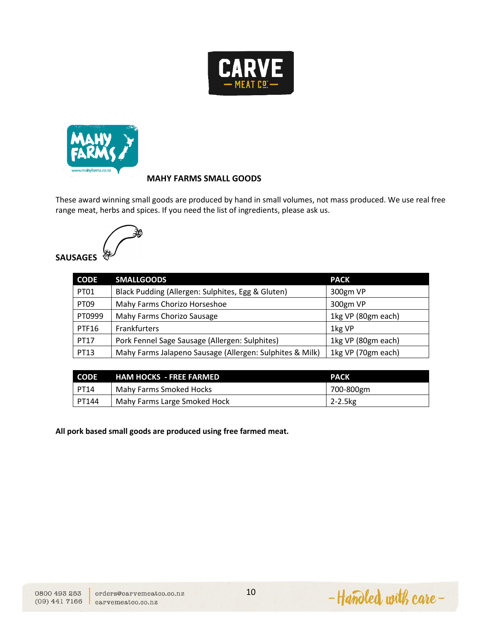



### **MAHY FARMS SMALL GOODS**

These award winning small goods are produced by hand in small volumes, not mass produced. We use real free range meat, herbs and spices. If you need the list of ingredients, please ask us.



# **SAUSAGES**

| <b>CODE</b>  | <b>SMALLGOODS</b>                                        | <b>PACK</b>        |
|--------------|----------------------------------------------------------|--------------------|
| PT01         | Black Pudding (Allergen: Sulphites, Egg & Gluten)        | 300gm VP           |
| <b>PT09</b>  | Mahy Farms Chorizo Horseshoe                             | 300gm VP           |
| PT0999       | Mahy Farms Chorizo Sausage                               | 1kg VP (80gm each) |
| <b>PTF16</b> | Frankfurters                                             | 1kg VP             |
| <b>PT17</b>  | Pork Fennel Sage Sausage (Allergen: Sulphites)           | 1kg VP (80gm each) |
| PT13         | Mahy Farms Jalapeno Sausage (Allergen: Sulphites & Milk) | 1kg VP (70gm each) |

| <b>CODE</b> | <b>HAM HOCKS - FREE FARMED</b> | <b>PACK</b>  |
|-------------|--------------------------------|--------------|
| PT14        | Mahy Farms Smoked Hocks        | 700-800gm    |
| PT144       | Mahy Farms Large Smoked Hock   | $2 - 2.5$ kg |

**All pork based small goods are produced using free farmed meat.**

-Handled with care-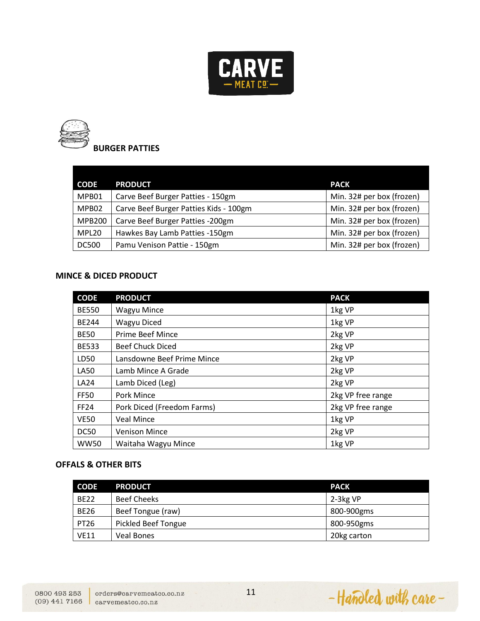



| <b>CODE</b>   | <b>PRODUCT</b>                         | <b>PACK</b>               |
|---------------|----------------------------------------|---------------------------|
| MPB01         | Carve Beef Burger Patties - 150gm      | Min. 32# per box (frozen) |
| MPB02         | Carve Beef Burger Patties Kids - 100gm | Min. 32# per box (frozen) |
| <b>MPB200</b> | Carve Beef Burger Patties -200gm       | Min. 32# per box (frozen) |
| MPL20         | Hawkes Bay Lamb Patties -150gm         | Min. 32# per box (frozen) |
| <b>DC500</b>  | Pamu Venison Pattie - 150gm            | Min. 32# per box (frozen) |

#### **MINCE & DICED PRODUCT**

| <b>CODE</b>  | <b>PRODUCT</b>             | <b>PACK</b>       |
|--------------|----------------------------|-------------------|
| <b>BE550</b> | <b>Wagyu Mince</b>         | 1kg VP            |
| <b>BE244</b> | Wagyu Diced                | 1kg VP            |
| <b>BE50</b>  | <b>Prime Beef Mince</b>    | 2kg VP            |
| <b>BE533</b> | <b>Beef Chuck Diced</b>    | 2kg VP            |
| LD50         | Lansdowne Beef Prime Mince | 2kg VP            |
| LA50         | Lamb Mince A Grade         | 2kg VP            |
| LA24         | Lamb Diced (Leg)           | 2kg VP            |
| <b>FF50</b>  | Pork Mince                 | 2kg VP free range |
| <b>FF24</b>  | Pork Diced (Freedom Farms) | 2kg VP free range |
| <b>VE50</b>  | <b>Veal Mince</b>          | 1kg VP            |
| DC50         | <b>Venison Mince</b>       | 2kg VP            |
| <b>WW50</b>  | Waitaha Wagyu Mince        | 1kg VP            |

#### **OFFALS & OTHER BITS**

| <b>CODE</b> | <b>PRODUCT</b>             | <b>PACK</b> |
|-------------|----------------------------|-------------|
| <b>BE22</b> | <b>Beef Cheeks</b>         | $2-3kg VP$  |
| <b>BE26</b> | Beef Tongue (raw)          | 800-900gms  |
| <b>PT26</b> | <b>Pickled Beef Tongue</b> | 800-950gms  |
| <b>VE11</b> | <b>Veal Bones</b>          | 20kg carton |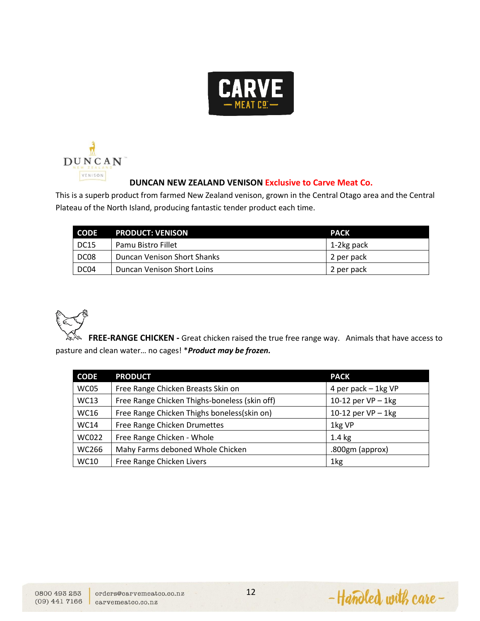



#### **DUNCAN NEW ZEALAND VENISON Exclusive to Carve Meat Co.**

This is a superb product from farmed New Zealand venison, grown in the Central Otago area and the Central Plateau of the North Island, producing fantastic tender product each time.

| <b>CODE</b> | <b>PRODUCT: VENISON</b>            | <b>PACK</b> |
|-------------|------------------------------------|-------------|
| <b>DC15</b> | Pamu Bistro Fillet                 | 1-2kg pack  |
| DC08        | <b>Duncan Venison Short Shanks</b> | 2 per pack  |
| DC04        | Duncan Venison Short Loins         | 2 per pack  |

**FREE-RANGE CHICKEN -** Great chicken raised the true free range way. Animals that have access to pasture and clean water… no cages! \**Product may be frozen.*

| <b>CODE</b>  | <b>PRODUCT</b>                                | <b>PACK</b>          |
|--------------|-----------------------------------------------|----------------------|
| WC05         | Free Range Chicken Breasts Skin on            | 4 per pack - 1kg VP  |
| <b>WC13</b>  | Free Range Chicken Thighs-boneless (skin off) | 10-12 per $VP-1$ kg  |
| <b>WC16</b>  | Free Range Chicken Thighs boneless(skin on)   | 10-12 per $VP - 1kg$ |
| <b>WC14</b>  | Free Range Chicken Drumettes                  | 1kg VP               |
| <b>WC022</b> | Free Range Chicken - Whole                    | $1.4 \text{ kg}$     |
| WC266        | Mahy Farms deboned Whole Chicken              | .800gm (approx)      |
| <b>WC10</b>  | Free Range Chicken Livers                     | 1kg                  |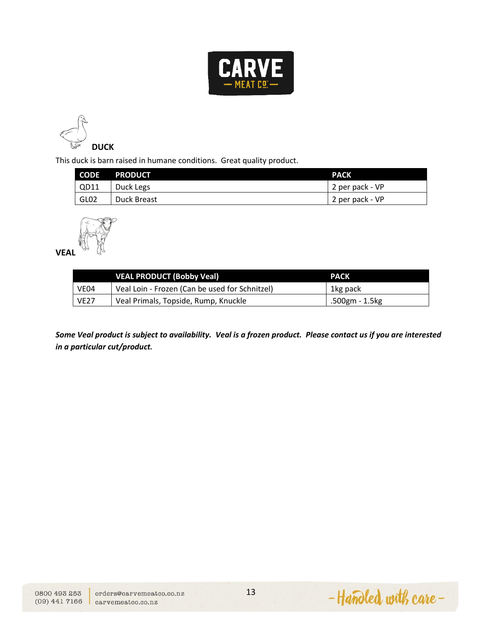



This duck is barn raised in humane conditions. Great quality product.

| <b>CODE</b>      | <b>PRODUCT</b> | <b>PACK</b>     |
|------------------|----------------|-----------------|
| QD11             | Duck Legs      | 2 per pack - VP |
| GL <sub>02</sub> | Duck Breast    | 2 per pack - VP |



**VEAL** 

|             | <b>VEAL PRODUCT (Bobby Veal)</b>               | <b>PACK</b>    |
|-------------|------------------------------------------------|----------------|
| VE04        | Veal Loin - Frozen (Can be used for Schnitzel) | 1kg pack       |
| <b>VE27</b> | Veal Primals, Topside, Rump, Knuckle           | .500gm - 1.5kg |

*Some Veal product is subject to availability. Veal is a frozen product. Please contact us if you are interested in a particular cut/product.* 

-Handled with care-